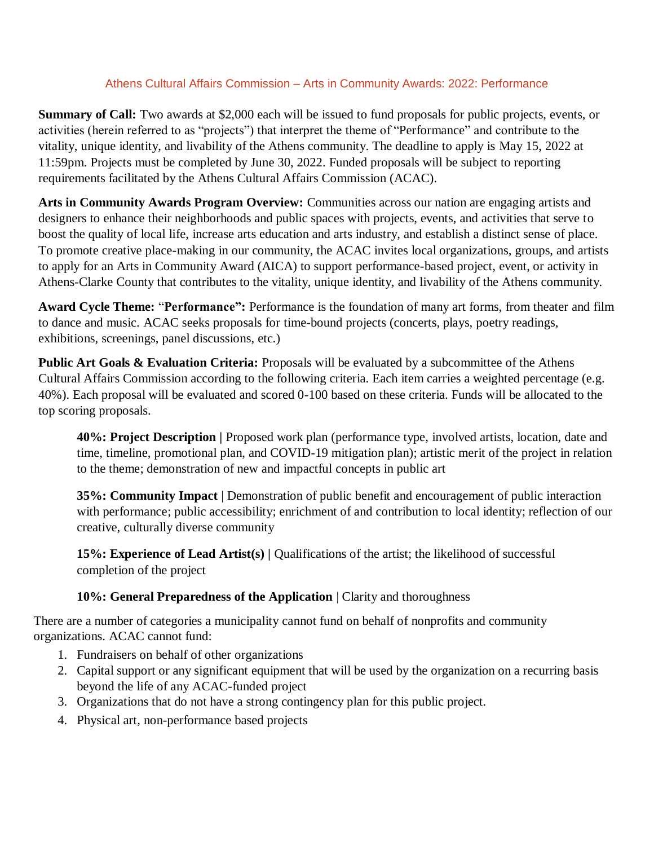## Athens Cultural Affairs Commission – Arts in Community Awards: 2022: Performance

**Summary of Call:** Two awards at \$2,000 each will be issued to fund proposals for public projects, events, or activities (herein referred to as "projects") that interpret the theme of "Performance" and contribute to the vitality, unique identity, and livability of the Athens community. The deadline to apply is May 15, 2022 at 11:59pm. Projects must be completed by June 30, 2022. Funded proposals will be subject to reporting requirements facilitated by the Athens Cultural Affairs Commission (ACAC).

**Arts in Community Awards Program Overview:** Communities across our nation are engaging artists and designers to enhance their neighborhoods and public spaces with projects, events, and activities that serve to boost the quality of local life, increase arts education and arts industry, and establish a distinct sense of place. To promote creative place-making in our community, the ACAC invites local organizations, groups, and artists to apply for an Arts in Community Award (AICA) to support performance-based project, event, or activity in Athens-Clarke County that contributes to the vitality, unique identity, and livability of the Athens community.

**Award Cycle Theme:** "**Performance":** Performance is the foundation of many art forms, from theater and film to dance and music. ACAC seeks proposals for time-bound projects (concerts, plays, poetry readings, exhibitions, screenings, panel discussions, etc.)

**Public Art Goals & Evaluation Criteria:** Proposals will be evaluated by a subcommittee of the Athens Cultural Affairs Commission according to the following criteria. Each item carries a weighted percentage (e.g. 40%). Each proposal will be evaluated and scored 0-100 based on these criteria. Funds will be allocated to the top scoring proposals.

**40%: Project Description |** Proposed work plan (performance type, involved artists, location, date and time, timeline, promotional plan, and COVID-19 mitigation plan); artistic merit of the project in relation to the theme; demonstration of new and impactful concepts in public art

**35%: Community Impact** | Demonstration of public benefit and encouragement of public interaction with performance; public accessibility; enrichment of and contribution to local identity; reflection of our creative, culturally diverse community

**15%: Experience of Lead Artist(s) | Qualifications of the artist; the likelihood of successful** completion of the project

## **10%: General Preparedness of the Application** | Clarity and thoroughness

There are a number of categories a municipality cannot fund on behalf of nonprofits and community organizations. ACAC cannot fund:

- 1. Fundraisers on behalf of other organizations
- 2. Capital support or any significant equipment that will be used by the organization on a recurring basis beyond the life of any ACAC-funded project
- 3. Organizations that do not have a strong contingency plan for this public project.
- 4. Physical art, non-performance based projects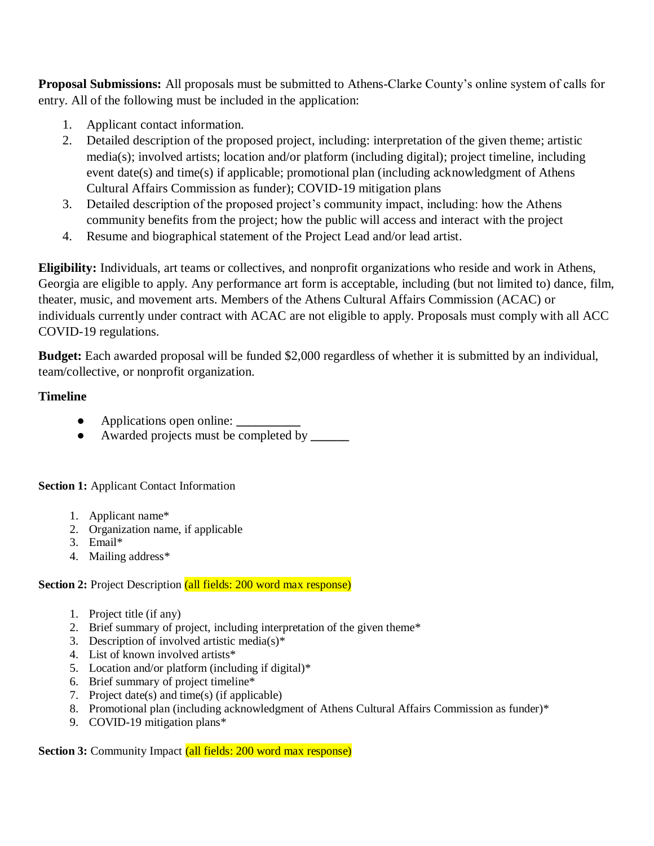**Proposal Submissions:** All proposals must be submitted to Athens-Clarke County's online system of calls for entry. All of the following must be included in the application:

- 1. Applicant contact information.
- 2. Detailed description of the proposed project, including: interpretation of the given theme; artistic media(s); involved artists; location and/or platform (including digital); project timeline, including event date(s) and time(s) if applicable; promotional plan (including acknowledgment of Athens Cultural Affairs Commission as funder); COVID-19 mitigation plans
- 3. Detailed description of the proposed project's community impact, including: how the Athens community benefits from the project; how the public will access and interact with the project
- 4. Resume and biographical statement of the Project Lead and/or lead artist.

**Eligibility:** Individuals, art teams or collectives, and nonprofit organizations who reside and work in Athens, Georgia are eligible to apply. Any performance art form is acceptable, including (but not limited to) dance, film, theater, music, and movement arts. Members of the Athens Cultural Affairs Commission (ACAC) or individuals currently under contract with ACAC are not eligible to apply. Proposals must comply with all ACC COVID-19 regulations.

**Budget:** Each awarded proposal will be funded \$2,000 regardless of whether it is submitted by an individual, team/collective, or nonprofit organization.

## **Timeline**

- Applications open online:
- Awarded projects must be completed by **\_\_\_\_\_\_**

**Section 1:** Applicant Contact Information

- 1. Applicant name\*
- 2. Organization name, if applicable
- 3. Email\*
- 4. Mailing address\*

## **Section 2:** Project Description (all fields: 200 word max response)

- 1. Project title (if any)
- 2. Brief summary of project, including interpretation of the given theme\*
- 3. Description of involved artistic media(s)\*
- 4. List of known involved artists\*
- 5. Location and/or platform (including if digital)\*
- 6. Brief summary of project timeline\*
- 7. Project date(s) and time(s) (if applicable)
- 8. Promotional plan (including acknowledgment of Athens Cultural Affairs Commission as funder)\*
- 9. COVID-19 mitigation plans\*

**Section 3:** Community Impact (all fields: 200 word max response)